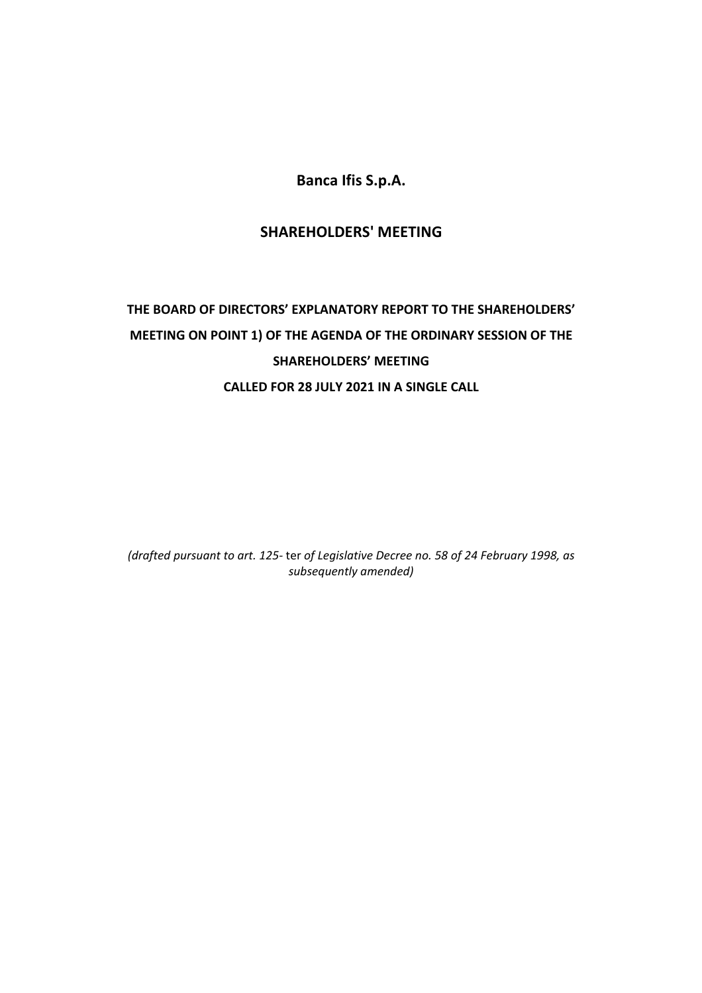**Banca Ifis S.p.A.** 

# **SHAREHOLDERS' MEETING**

# **THE BOARD OF DIRECTORS' EXPLANATORY REPORT TO THE SHAREHOLDERS' MEETING ON POINT 1) OF THE AGENDA OF THE ORDINARY SESSION OF THE SHAREHOLDERS' MEETING CALLED FOR 28 JULY 2021 IN A SINGLE CALL**

*(drafted pursuant to art. 125‐* ter *of Legislative Decree no. 58 of 24 February 1998, as subsequently amended)*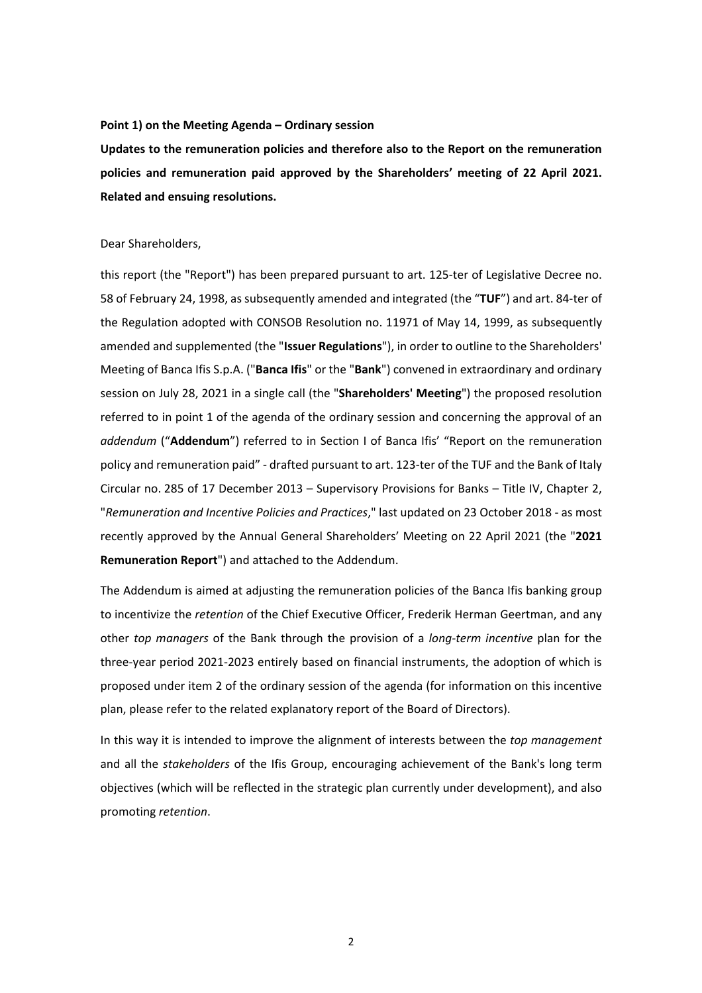### **Point 1) on the Meeting Agenda – Ordinary session**

**Updates to the remuneration policies and therefore also to the Report on the remuneration policies and remuneration paid approved by the Shareholders' meeting of 22 April 2021. Related and ensuing resolutions.** 

#### Dear Shareholders,

this report (the "Report") has been prepared pursuant to art. 125‐ter of Legislative Decree no. 58 of February 24, 1998, as subsequently amended and integrated (the "**TUF**") and art. 84‐ter of the Regulation adopted with CONSOB Resolution no. 11971 of May 14, 1999, as subsequently amended and supplemented (the "**Issuer Regulations**"), in order to outline to the Shareholders' Meeting of Banca Ifis S.p.A. ("**Banca Ifis**" or the "**Bank**") convened in extraordinary and ordinary session on July 28, 2021 in a single call (the "**Shareholders' Meeting**") the proposed resolution referred to in point 1 of the agenda of the ordinary session and concerning the approval of an *addendum* ("**Addendum**") referred to in Section I of Banca Ifis' "Report on the remuneration policy and remuneration paid" - drafted pursuant to art. 123-ter of the TUF and the Bank of Italy Circular no. 285 of 17 December 2013 – Supervisory Provisions for Banks – Title IV, Chapter 2, "*Remuneration and Incentive Policies and Practices*," last updated on 23 October 2018 ‐ as most recently approved by the Annual General Shareholders' Meeting on 22 April 2021 (the "**2021 Remuneration Report**") and attached to the Addendum.

The Addendum is aimed at adjusting the remuneration policies of the Banca Ifis banking group to incentivize the *retention* of the Chief Executive Officer, Frederik Herman Geertman, and any other *top managers* of the Bank through the provision of a *long‐term incentive* plan for the three‐year period 2021‐2023 entirely based on financial instruments, the adoption of which is proposed under item 2 of the ordinary session of the agenda (for information on this incentive plan, please refer to the related explanatory report of the Board of Directors).

In this way it is intended to improve the alignment of interests between the *top management* and all the *stakeholders* of the Ifis Group, encouraging achievement of the Bank's long term objectives (which will be reflected in the strategic plan currently under development), and also promoting *retention*.

2